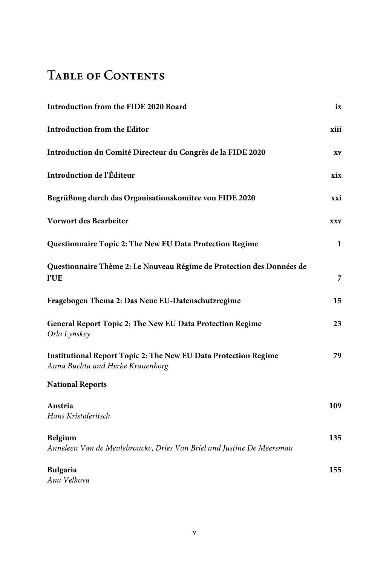## **Table of Contents**

| Introduction from the FIDE 2020 Board                                                                      | ix         |
|------------------------------------------------------------------------------------------------------------|------------|
| <b>Introduction from the Editor</b>                                                                        | xiii       |
| Introduction du Comité Directeur du Congrès de la FIDE 2020                                                | XV         |
| Introduction de l'Éditeur                                                                                  | xix        |
| Begrüßung durch das Organisationskomitee von FIDE 2020                                                     | xxi        |
| Vorwort des Bearbeiter                                                                                     | <b>XXV</b> |
| Questionnaire Topic 2: The New EU Data Protection Regime                                                   | 1          |
| Questionnaire Thème 2: Le Nouveau Régime de Protection des Données de<br>l'UE                              | 7          |
| Fragebogen Thema 2: Das Neue EU-Datenschutzregime                                                          | 15         |
| General Report Topic 2: The New EU Data Protection Regime<br>Orla Lynskey                                  | 23         |
| <b>Institutional Report Topic 2: The New EU Data Protection Regime</b><br>Anna Buchta and Herke Kranenborg | 79         |
| <b>National Reports</b>                                                                                    |            |
| Austria<br>Hans Kristoferitsch                                                                             | 109        |
| Belgium<br>Anneleen Van de Meulebroucke, Dries Van Briel and Justine De Meersman                           | 135        |
| <b>Bulgaria</b><br>Ana Velkova                                                                             | 155        |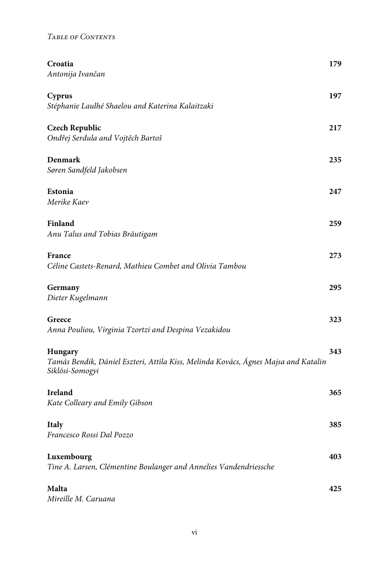| Croatia                                                                                                                 | 179 |
|-------------------------------------------------------------------------------------------------------------------------|-----|
| Antonija Ivančan                                                                                                        |     |
| Cyprus<br>Stéphanie Laulhé Shaelou and Katerina Kalaitzaki                                                              | 197 |
| <b>Czech Republic</b><br>Ondřej Serdula and Vojtěch Bartoš                                                              | 217 |
| Denmark<br>Søren Sandfeld Jakobsen                                                                                      | 235 |
| Estonia<br>Merike Kaev                                                                                                  | 247 |
| Finland<br>Anu Talus and Tobias Bräutigam                                                                               | 259 |
| France<br>Céline Castets-Renard, Mathieu Combet and Olivia Tambou                                                       | 273 |
| Germany<br>Dieter Kugelmann                                                                                             | 295 |
| Greece<br>Anna Pouliou, Virginia Tzortzi and Despina Vezakidou                                                          | 323 |
| <b>Hungary</b><br>Tamás Bendik, Dániel Eszteri, Attila Kiss, Melinda Kovács, Ágnes Majsa and Katalin<br>Siklósi-Somogyi | 343 |
| Ireland<br>Kate Colleary and Emily Gibson                                                                               | 365 |
| <b>Italy</b><br>Francesco Rossi Dal Pozzo                                                                               | 385 |
| Luxembourg<br>Tine A. Larsen, Clémentine Boulanger and Annelies Vandendriessche                                         | 403 |
| Malta<br>Mireille M. Caruana                                                                                            | 425 |